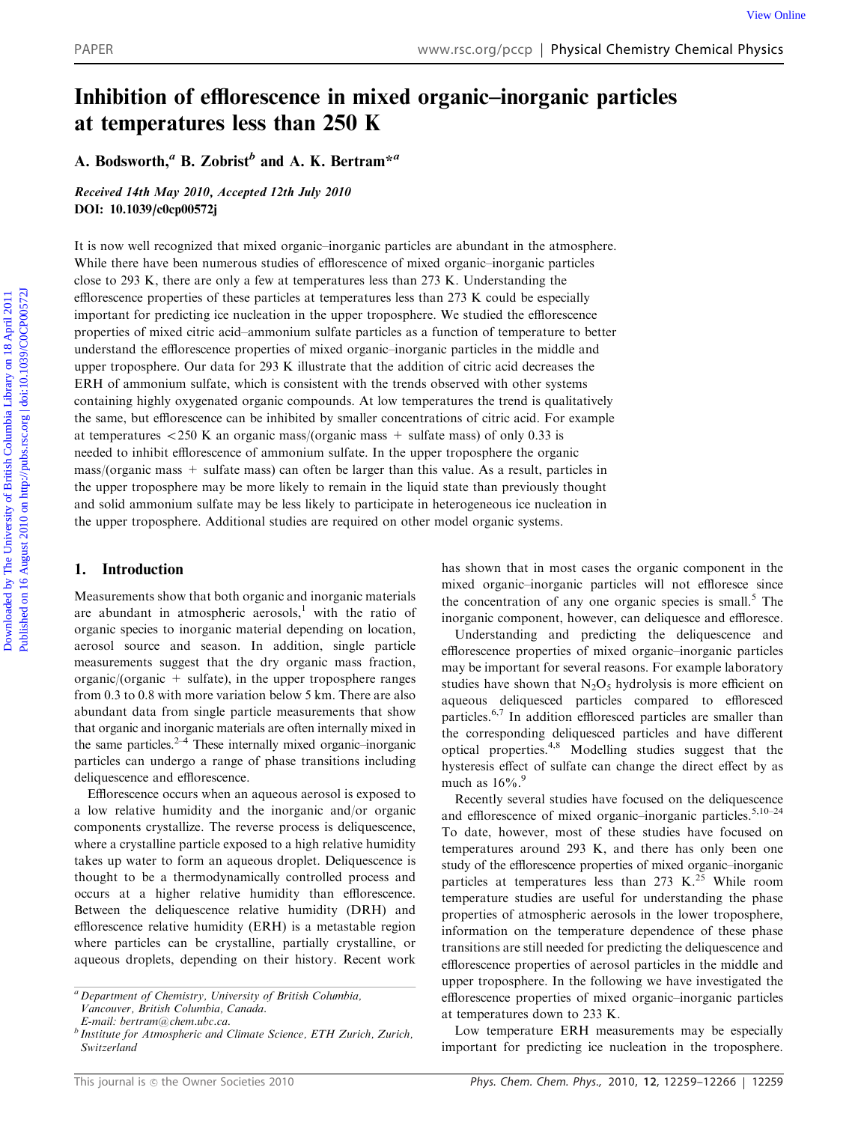# Inhibition of efflorescence in mixed organic–inorganic particles at temperatures less than 250 K

A. Bodsworth,<sup>a</sup> B. Zobrist<sup>b</sup> and A. K. Bertram<sup>\*a</sup>

Received 14th May 2010, Accepted 12th July 2010 DOI: 10.1039/c0cp00572j

It is now well recognized that mixed organic–inorganic particles are abundant in the atmosphere. While there have been numerous studies of efflorescence of mixed organic–inorganic particles close to 293 K, there are only a few at temperatures less than 273 K. Understanding the efflorescence properties of these particles at temperatures less than 273 K could be especially important for predicting ice nucleation in the upper troposphere. We studied the efflorescence properties of mixed citric acid–ammonium sulfate particles as a function of temperature to better understand the efflorescence properties of mixed organic–inorganic particles in the middle and upper troposphere. Our data for 293 K illustrate that the addition of citric acid decreases the ERH of ammonium sulfate, which is consistent with the trends observed with other systems containing highly oxygenated organic compounds. At low temperatures the trend is qualitatively the same, but efflorescence can be inhibited by smaller concentrations of citric acid. For example at temperatures  $\langle 250 \text{ K} \rangle$  an organic mass/(organic mass + sulfate mass) of only 0.33 is needed to inhibit efflorescence of ammonium sulfate. In the upper troposphere the organic mass/(organic mass + sulfate mass) can often be larger than this value. As a result, particles in the upper troposphere may be more likely to remain in the liquid state than previously thought and solid ammonium sulfate may be less likely to participate in heterogeneous ice nucleation in the upper troposphere. Additional studies are required on other model organic systems. PAPER<br> **Download Columbia Library on 18 August 2012** Columbia Library on 18 August 2012 Columbia Library on 18 August 2012 Columbia Library on 18 August 2012 Columbia Library on 18 August 2012 Columbia Library on 18 Augus

# 1. Introduction

Measurements show that both organic and inorganic materials are abundant in atmospheric aerosols,<sup>1</sup> with the ratio of organic species to inorganic material depending on location, aerosol source and season. In addition, single particle measurements suggest that the dry organic mass fraction, organic/(organic  $+$  sulfate), in the upper troposphere ranges from 0.3 to 0.8 with more variation below 5 km. There are also abundant data from single particle measurements that show that organic and inorganic materials are often internally mixed in the same particles. $2-4$  These internally mixed organic–inorganic particles can undergo a range of phase transitions including deliquescence and efflorescence.

Efflorescence occurs when an aqueous aerosol is exposed to a low relative humidity and the inorganic and/or organic components crystallize. The reverse process is deliquescence, where a crystalline particle exposed to a high relative humidity takes up water to form an aqueous droplet. Deliquescence is thought to be a thermodynamically controlled process and occurs at a higher relative humidity than efflorescence. Between the deliquescence relative humidity (DRH) and efflorescence relative humidity (ERH) is a metastable region where particles can be crystalline, partially crystalline, or aqueous droplets, depending on their history. Recent work

has shown that in most cases the organic component in the mixed organic–inorganic particles will not effloresce since the concentration of any one organic species is small.<sup>5</sup> The inorganic component, however, can deliquesce and effloresce.

Understanding and predicting the deliquescence and efflorescence properties of mixed organic–inorganic particles may be important for several reasons. For example laboratory studies have shown that  $N_2O_5$  hydrolysis is more efficient on aqueous deliquesced particles compared to effloresced particles.6,7 In addition effloresced particles are smaller than the corresponding deliquesced particles and have different optical properties.4,8 Modelling studies suggest that the hysteresis effect of sulfate can change the direct effect by as much as  $16\%$ .<sup>9</sup>

Recently several studies have focused on the deliquescence and efflorescence of mixed organic–inorganic particles.<sup>5,10–24</sup> To date, however, most of these studies have focused on temperatures around 293 K, and there has only been one study of the efflorescence properties of mixed organic–inorganic particles at temperatures less than 273 K.<sup>25</sup> While room temperature studies are useful for understanding the phase properties of atmospheric aerosols in the lower troposphere, information on the temperature dependence of these phase transitions are still needed for predicting the deliquescence and efflorescence properties of aerosol particles in the middle and upper troposphere. In the following we have investigated the efflorescence properties of mixed organic–inorganic particles at temperatures down to 233 K.

Low temperature ERH measurements may be especially important for predicting ice nucleation in the troposphere.

 ${}^{a}$  Department of Chemistry, University of British Columbia,

Vancouver, British Columbia, Canada.

E-mail: bertram@chem.ubc.ca.

 $^{b}$  Institute for Atmospheric and Climate Science, ETH Zurich, Zurich, Switzerland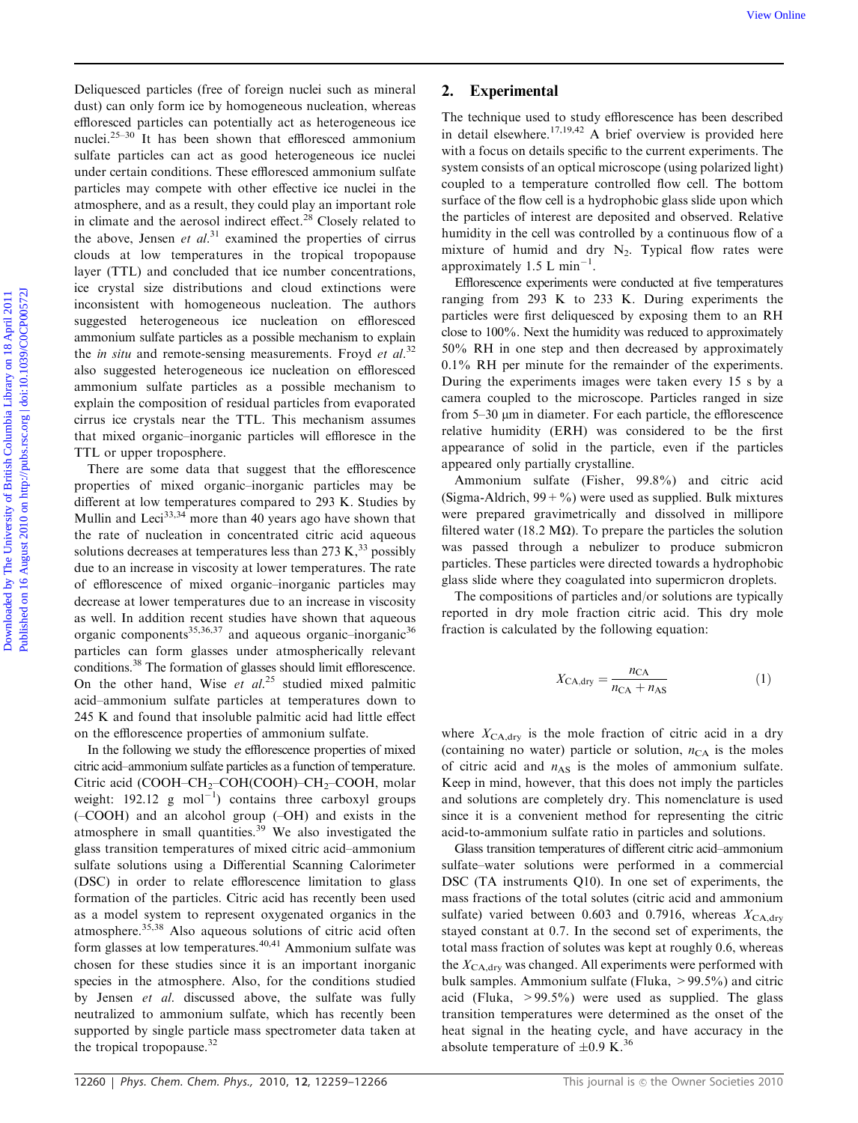Deliquesced particles (free of foreign nuclei such as mineral dust) can only form ice by homogeneous nucleation, whereas effloresced particles can potentially act as heterogeneous ice nuclei.25–30 It has been shown that effloresced ammonium sulfate particles can act as good heterogeneous ice nuclei under certain conditions. These effloresced ammonium sulfate particles may compete with other effective ice nuclei in the atmosphere, and as a result, they could play an important role in climate and the aerosol indirect effect.<sup>28</sup> Closely related to the above, Jensen et  $al$ <sup>31</sup> examined the properties of cirrus clouds at low temperatures in the tropical tropopause layer (TTL) and concluded that ice number concentrations, ice crystal size distributions and cloud extinctions were inconsistent with homogeneous nucleation. The authors suggested heterogeneous ice nucleation on effloresced ammonium sulfate particles as a possible mechanism to explain the *in situ* and remote-sensing measurements. Froyd *et al.*<sup>32</sup> also suggested heterogeneous ice nucleation on effloresced ammonium sulfate particles as a possible mechanism to explain the composition of residual particles from evaporated cirrus ice crystals near the TTL. This mechanism assumes that mixed organic–inorganic particles will effloresce in the TTL or upper troposphere. Were Onlineariest provides (free of foreign nucle such as mineral and the technique and of maly effected on the british Columbia Library on 18 August 202 Published on 16 August 202 Published on 16 August 2012 Published Co

There are some data that suggest that the efflorescence properties of mixed organic–inorganic particles may be different at low temperatures compared to 293 K. Studies by Mullin and Leci<sup>33,34</sup> more than 40 years ago have shown that the rate of nucleation in concentrated citric acid aqueous solutions decreases at temperatures less than  $273 \text{ K}$ ,  $33 \text{ possibly}$ due to an increase in viscosity at lower temperatures. The rate of efflorescence of mixed organic–inorganic particles may decrease at lower temperatures due to an increase in viscosity as well. In addition recent studies have shown that aqueous organic components<sup>35,36,37</sup> and aqueous organic–inorganic<sup>36</sup> particles can form glasses under atmospherically relevant conditions.<sup>38</sup> The formation of glasses should limit efflorescence. On the other hand, Wise et  $al^{25}$  studied mixed palmitic acid–ammonium sulfate particles at temperatures down to 245 K and found that insoluble palmitic acid had little effect on the efflorescence properties of ammonium sulfate.

In the following we study the efflorescence properties of mixed citric acid–ammonium sulfate particles as a function of temperature. Citric acid (COOH–CH<sub>2</sub>–COH(COOH)–CH<sub>2</sub>–COOH, molar weight:  $192.12$  g mol<sup>-1</sup>) contains three carboxyl groups (–COOH) and an alcohol group (–OH) and exists in the atmosphere in small quantities.<sup>39</sup> We also investigated the glass transition temperatures of mixed citric acid–ammonium sulfate solutions using a Differential Scanning Calorimeter (DSC) in order to relate efflorescence limitation to glass formation of the particles. Citric acid has recently been used as a model system to represent oxygenated organics in the atmosphere.<sup>35,38</sup> Also aqueous solutions of citric acid often form glasses at low temperatures.<sup>40,41</sup> Ammonium sulfate was chosen for these studies since it is an important inorganic species in the atmosphere. Also, for the conditions studied by Jensen et al. discussed above, the sulfate was fully neutralized to ammonium sulfate, which has recently been supported by single particle mass spectrometer data taken at the tropical tropopause.<sup>32</sup>

## 2. Experimental

The technique used to study efflorescence has been described in detail elsewhere.17,19,42 A brief overview is provided here with a focus on details specific to the current experiments. The system consists of an optical microscope (using polarized light) coupled to a temperature controlled flow cell. The bottom surface of the flow cell is a hydrophobic glass slide upon which the particles of interest are deposited and observed. Relative humidity in the cell was controlled by a continuous flow of a mixture of humid and dry  $N_2$ . Typical flow rates were approximately 1.5 L min<sup>-1</sup>.

Efflorescence experiments were conducted at five temperatures ranging from 293 K to 233 K. During experiments the particles were first deliquesced by exposing them to an RH close to 100%. Next the humidity was reduced to approximately 50% RH in one step and then decreased by approximately 0.1% RH per minute for the remainder of the experiments. During the experiments images were taken every 15 s by a camera coupled to the microscope. Particles ranged in size from  $5-30 \mu m$  in diameter. For each particle, the efflorescence relative humidity (ERH) was considered to be the first appearance of solid in the particle, even if the particles appeared only partially crystalline.

Ammonium sulfate (Fisher, 99.8%) and citric acid (Sigma-Aldrich,  $99 + %$ ) were used as supplied. Bulk mixtures were prepared gravimetrically and dissolved in millipore filtered water (18.2 M $\Omega$ ). To prepare the particles the solution was passed through a nebulizer to produce submicron particles. These particles were directed towards a hydrophobic glass slide where they coagulated into supermicron droplets.

The compositions of particles and/or solutions are typically reported in dry mole fraction citric acid. This dry mole fraction is calculated by the following equation:

$$
X_{\text{CA,dry}} = \frac{n_{\text{CA}}}{n_{\text{CA}} + n_{\text{AS}}} \tag{1}
$$

where  $X_{\text{CA, dry}}$  is the mole fraction of citric acid in a dry (containing no water) particle or solution,  $n_{CA}$  is the moles of citric acid and  $n_{AS}$  is the moles of ammonium sulfate. Keep in mind, however, that this does not imply the particles and solutions are completely dry. This nomenclature is used since it is a convenient method for representing the citric acid-to-ammonium sulfate ratio in particles and solutions.

Glass transition temperatures of different citric acid–ammonium sulfate–water solutions were performed in a commercial DSC (TA instruments Q10). In one set of experiments, the mass fractions of the total solutes (citric acid and ammonium sulfate) varied between 0.603 and 0.7916, whereas  $X_{\text{CA-dry}}$ stayed constant at 0.7. In the second set of experiments, the total mass fraction of solutes was kept at roughly 0.6, whereas the  $X_{\text{CA},\text{dry}}$  was changed. All experiments were performed with bulk samples. Ammonium sulfate (Fluka,  $> 99.5\%$ ) and citric acid (Fluka,  $>99.5\%$ ) were used as supplied. The glass transition temperatures were determined as the onset of the heat signal in the heating cycle, and have accuracy in the absolute temperature of  $\pm 0.9$  K.<sup>36</sup>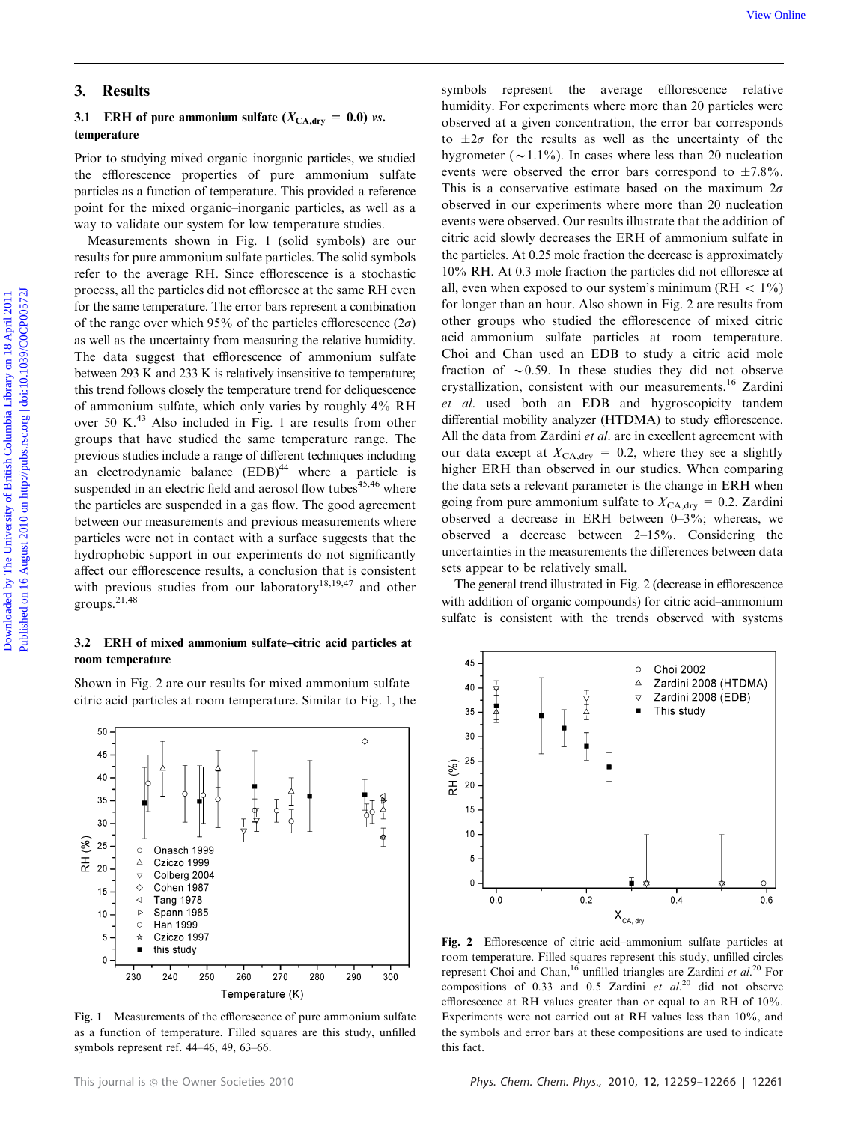# 3. Results

## 3.1 ERH of pure ammonium sulfate  $(X_{\text{CA, dry}} = 0.0)$  vs. temperature

Prior to studying mixed organic–inorganic particles, we studied the efflorescence properties of pure ammonium sulfate particles as a function of temperature. This provided a reference point for the mixed organic–inorganic particles, as well as a way to validate our system for low temperature studies.

Measurements shown in Fig. 1 (solid symbols) are our results for pure ammonium sulfate particles. The solid symbols refer to the average RH. Since efflorescence is a stochastic process, all the particles did not effloresce at the same RH even for the same temperature. The error bars represent a combination of the range over which 95% of the particles efflorescence  $(2\sigma)$ as well as the uncertainty from measuring the relative humidity. The data suggest that efflorescence of ammonium sulfate between 293 K and 233 K is relatively insensitive to temperature; this trend follows closely the temperature trend for deliquescence of ammonium sulfate, which only varies by roughly 4% RH over 50 K.<sup>43</sup> Also included in Fig. 1 are results from other groups that have studied the same temperature range. The previous studies include a range of different techniques including an electrodynamic balance  $(EDB)^{44}$  where a particle is suspended in an electric field and aerosol flow tubes<sup>45,46</sup> where the particles are suspended in a gas flow. The good agreement between our measurements and previous measurements where particles were not in contact with a surface suggests that the hydrophobic support in our experiments do not significantly affect our efflorescence results, a conclusion that is consistent with previous studies from our laboratory<sup>18,19,47</sup> and other groups.21,48

### 3.2 ERH of mixed ammonium sulfate–citric acid particles at room temperature

Shown in Fig. 2 are our results for mixed ammonium sulfate– citric acid particles at room temperature. Similar to Fig. 1, the



Fig. 1 Measurements of the efflorescence of pure ammonium sulfate as a function of temperature. Filled squares are this study, unfilled symbols represent ref. 44–46, 49, 63–66.

symbols represent the average efflorescence relative humidity. For experiments where more than 20 particles were observed at a given concentration, the error bar corresponds to  $\pm 2\sigma$  for the results as well as the uncertainty of the hygrometer ( $\sim$ 1.1%). In cases where less than 20 nucleation events were observed the error bars correspond to  $\pm 7.8\%$ . This is a conservative estimate based on the maximum  $2\sigma$ observed in our experiments where more than 20 nucleation events were observed. Our results illustrate that the addition of citric acid slowly decreases the ERH of ammonium sulfate in the particles. At 0.25 mole fraction the decrease is approximately 10% RH. At 0.3 mole fraction the particles did not effloresce at all, even when exposed to our system's minimum ( $RH < 1\%$ ) for longer than an hour. Also shown in Fig. 2 are results from other groups who studied the efflorescence of mixed citric acid–ammonium sulfate particles at room temperature. Choi and Chan used an EDB to study a citric acid mole fraction of  $\sim 0.59$ . In these studies they did not observe crystallization, consistent with our measurements.<sup>16</sup> Zardini et al. used both an EDB and hygroscopicity tandem differential mobility analyzer (HTDMA) to study efflorescence. All the data from Zardini et al. are in excellent agreement with our data except at  $X_{\text{CA, dry}} = 0.2$ , where they see a slightly higher ERH than observed in our studies. When comparing the data sets a relevant parameter is the change in ERH when going from pure ammonium sulfate to  $X_{\text{CA,dry}} = 0.2$ . Zardini observed a decrease in ERH between 0–3%; whereas, we observed a decrease between 2–15%. Considering the uncertainties in the measurements the differences between data sets appear to be relatively small. **3. Results**<br>
3. Results<br>
3. LEBII of pure ammonium sulfate ( $X_{\text{c,obs}} = 6.0$ ) rs.<br>
1. temperature constrained by the columbia Library on the columbia Library on the Columbia Library on the University of Eq. 2. Legislatio

The general trend illustrated in Fig. 2 (decrease in efflorescence with addition of organic compounds) for citric acid–ammonium sulfate is consistent with the trends observed with systems



Fig. 2 Efflorescence of citric acid–ammonium sulfate particles at room temperature. Filled squares represent this study, unfilled circles represent Choi and Chan,<sup>16</sup> unfilled triangles are Zardini et al.<sup>20</sup> For compositions of 0.33 and 0.5 Zardini et  $al$ <sup>20</sup> did not observe efflorescence at RH values greater than or equal to an RH of 10%. Experiments were not carried out at RH values less than 10%, and the symbols and error bars at these compositions are used to indicate this fact.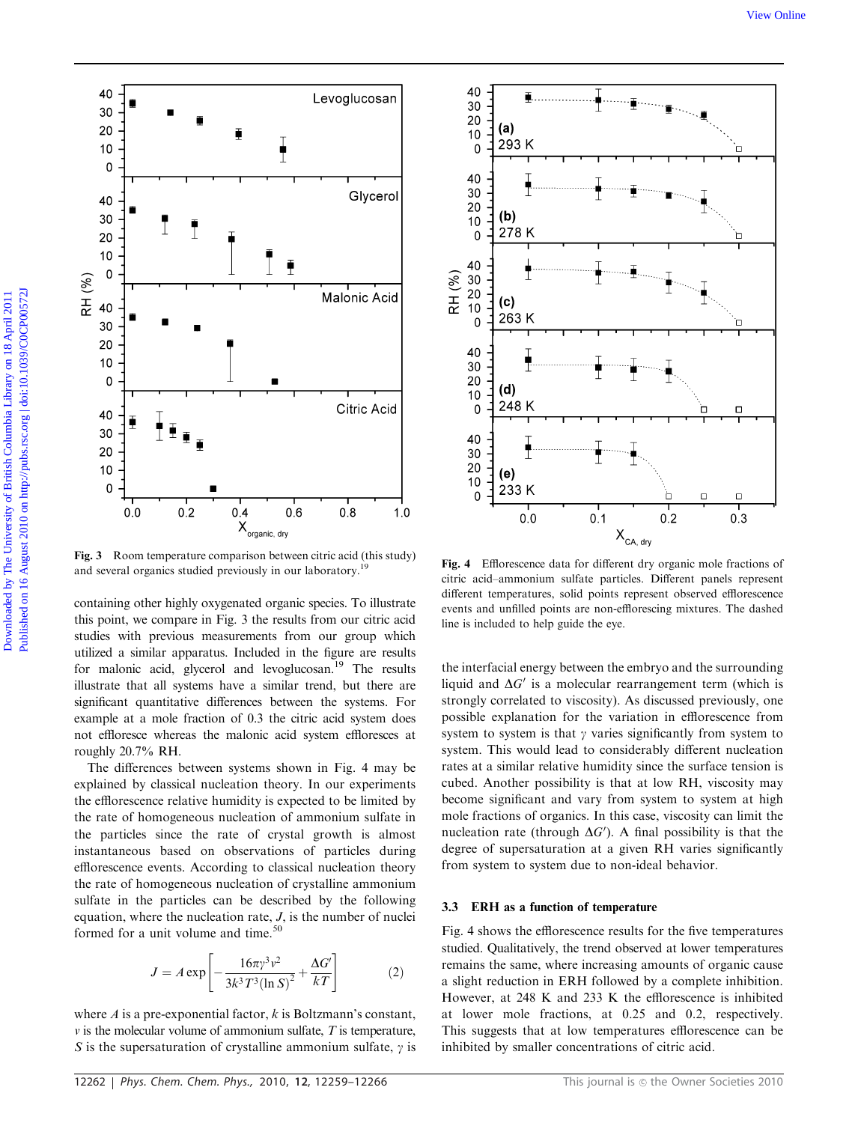

Fig. 3 Room temperature comparison between citric acid (this study) Fig. 4 Efflorescence data for different dry organic mole fractions of and several organics studied previously in our laboratory.<sup>19</sup> Fig. 4 Efflorescence data for different dry organic mole fractions of

containing other highly oxygenated organic species. To illustrate this point, we compare in Fig. 3 the results from our citric acid studies with previous measurements from our group which utilized a similar apparatus. Included in the figure are results for malonic acid, glycerol and levoglucosan.<sup>19</sup> The results illustrate that all systems have a similar trend, but there are significant quantitative differences between the systems. For example at a mole fraction of 0.3 the citric acid system does not effloresce whereas the malonic acid system effloresces at roughly 20.7% RH.

The differences between systems shown in Fig. 4 may be explained by classical nucleation theory. In our experiments the efflorescence relative humidity is expected to be limited by the rate of homogeneous nucleation of ammonium sulfate in the particles since the rate of crystal growth is almost instantaneous based on observations of particles during efflorescence events. According to classical nucleation theory the rate of homogeneous nucleation of crystalline ammonium sulfate in the particles can be described by the following equation, where the nucleation rate,  $J$ , is the number of nuclei formed for a unit volume and time.<sup>50</sup>

$$
J = A \exp \left[ -\frac{16\pi \gamma^3 v^2}{3k^3 T^3 (\ln S)^2} + \frac{\Delta G'}{kT} \right]
$$
 (2)

where  $A$  is a pre-exponential factor,  $k$  is Boltzmann's constant,  $\nu$  is the molecular volume of ammonium sulfate,  $T$  is temperature, S is the supersaturation of crystalline ammonium sulfate,  $\gamma$  is



citric acid–ammonium sulfate particles. Different panels represent different temperatures, solid points represent observed efflorescence events and unfilled points are non-efflorescing mixtures. The dashed line is included to help guide the eye.

the interfacial energy between the embryo and the surrounding liquid and  $\Delta G'$  is a molecular rearrangement term (which is strongly correlated to viscosity). As discussed previously, one possible explanation for the variation in efflorescence from system to system is that  $\gamma$  varies significantly from system to system. This would lead to considerably different nucleation rates at a similar relative humidity since the surface tension is cubed. Another possibility is that at low RH, viscosity may become significant and vary from system to system at high mole fractions of organics. In this case, viscosity can limit the nucleation rate (through  $\Delta G'$ ). A final possibility is that the degree of supersaturation at a given RH varies significantly from system to system due to non-ideal behavior.

## 3.3 ERH as a function of temperature

Fig. 4 shows the efflorescence results for the five temperatures studied. Qualitatively, the trend observed at lower temperatures remains the same, where increasing amounts of organic cause a slight reduction in ERH followed by a complete inhibition. However, at 248 K and 233 K the efflorescence is inhibited at lower mole fractions, at 0.25 and 0.2, respectively. This suggests that at low temperatures efflorescence can be inhibited by smaller concentrations of citric acid.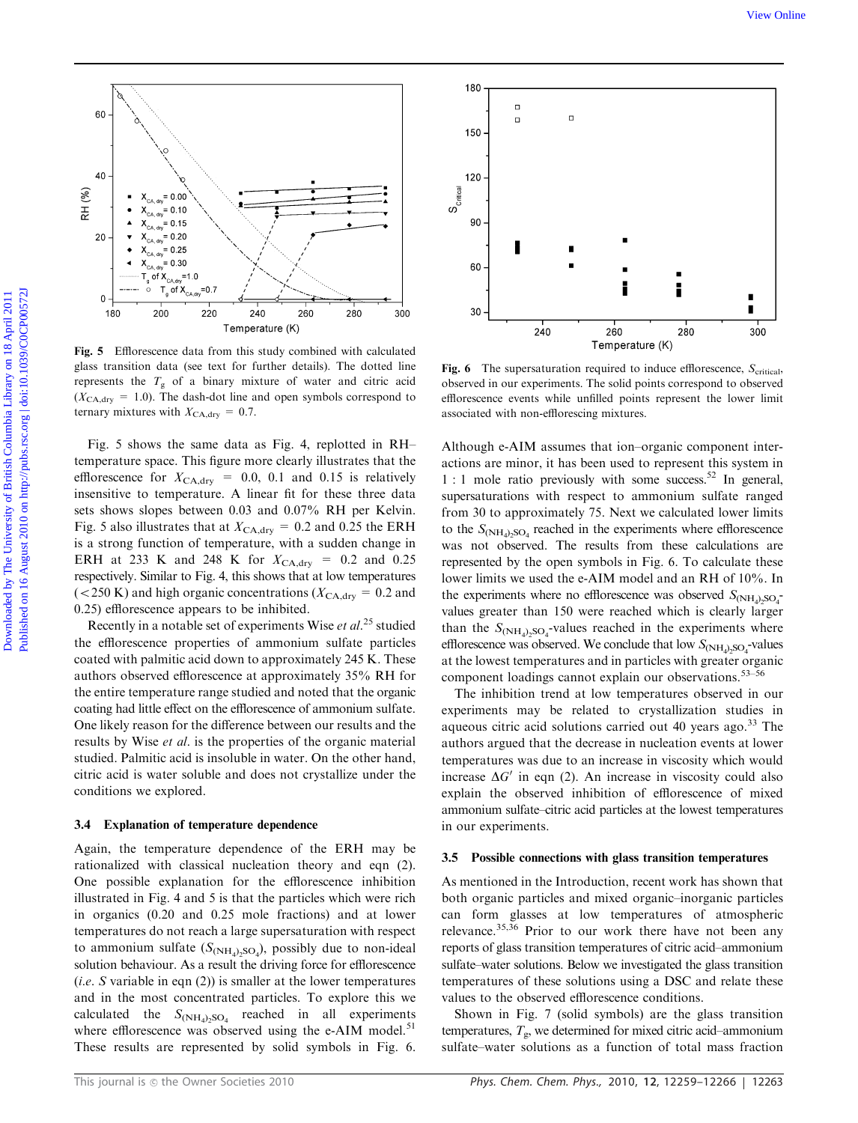

Fig. 5 Efflorescence data from this study combined with calculated glass transition data (see text for further details). The dotted line represents the  $T_g$  of a binary mixture of water and citric acid  $(X_{\text{CA,dry}} = 1.0)$ . The dash-dot line and open symbols correspond to ternary mixtures with  $X_{\text{CA,dry}} = 0.7$ .

Fig. 5 shows the same data as Fig. 4, replotted in RH– temperature space. This figure more clearly illustrates that the efflorescence for  $X_{\text{CA,dry}} = 0.0, 0.1$  and 0.15 is relatively insensitive to temperature. A linear fit for these three data sets shows slopes between 0.03 and 0.07% RH per Kelvin. Fig. 5 also illustrates that at  $X_{\text{CA, dry}} = 0.2$  and 0.25 the ERH is a strong function of temperature, with a sudden change in ERH at 233 K and 248 K for  $X_{CA, dry} = 0.2$  and 0.25 respectively. Similar to Fig. 4, this shows that at low temperatures ( $<$  250 K) and high organic concentrations ( $X_{\text{CA, dry}} = 0.2$  and 0.25) efflorescence appears to be inhibited.

Recently in a notable set of experiments Wise et  $al.^{25}$  studied the efflorescence properties of ammonium sulfate particles coated with palmitic acid down to approximately 245 K. These authors observed efflorescence at approximately 35% RH for the entire temperature range studied and noted that the organic coating had little effect on the efflorescence of ammonium sulfate. One likely reason for the difference between our results and the results by Wise *et al.* is the properties of the organic material studied. Palmitic acid is insoluble in water. On the other hand, citric acid is water soluble and does not crystallize under the conditions we explored.

#### 3.4 Explanation of temperature dependence

Again, the temperature dependence of the ERH may be rationalized with classical nucleation theory and eqn (2). One possible explanation for the efflorescence inhibition illustrated in Fig. 4 and 5 is that the particles which were rich in organics (0.20 and 0.25 mole fractions) and at lower temperatures do not reach a large supersaturation with respect to ammonium sulfate  $(S_{(NH_4)_2SO_4})$ , possibly due to non-ideal solution behaviour. As a result the driving force for efflorescence (*i.e.* S variable in eqn  $(2)$ ) is smaller at the lower temperatures and in the most concentrated particles. To explore this we calculated the  $S_{(\text{NH}_4),\text{SO}_4}$  reached in all experiments where efflorescence was observed using the e-AIM model. $51$ These results are represented by solid symbols in Fig. 6.



**Fig. 6** The supersaturation required to induce efflorescence,  $S_{\text{critical}}$ , observed in our experiments. The solid points correspond to observed efflorescence events while unfilled points represent the lower limit associated with non-efflorescing mixtures.

Although e-AIM assumes that ion–organic component interactions are minor, it has been used to represent this system in  $1:1$  mole ratio previously with some success.<sup>52</sup> In general, supersaturations with respect to ammonium sulfate ranged from 30 to approximately 75. Next we calculated lower limits to the  $S_{(\text{NH}_4)_2\text{SO}_4}$  reached in the experiments where efflorescence was not observed. The results from these calculations are represented by the open symbols in Fig. 6. To calculate these lower limits we used the e-AIM model and an RH of 10%. In the experiments where no efflorescence was observed  $S_{(NH_4)_2SO_4^-}$ values greater than 150 were reached which is clearly larger than the  $S_{(NH_4)_2SO_4}$ -values reached in the experiments where efflorescence was observed. We conclude that low  $S_{(\text{NH}_4)_2\text{SO}_4}$ -values at the lowest temperatures and in particles with greater organic component loadings cannot explain our observations.<sup>53-56</sup>

The inhibition trend at low temperatures observed in our experiments may be related to crystallization studies in aqueous citric acid solutions carried out 40 years ago. $^{33}$  The authors argued that the decrease in nucleation events at lower temperatures was due to an increase in viscosity which would increase  $\Delta G'$  in eqn (2). An increase in viscosity could also explain the observed inhibition of efflorescence of mixed ammonium sulfate–citric acid particles at the lowest temperatures in our experiments.

#### 3.5 Possible connections with glass transition temperatures

As mentioned in the Introduction, recent work has shown that both organic particles and mixed organic–inorganic particles can form glasses at low temperatures of atmospheric relevance.<sup>35,36</sup> Prior to our work there have not been any reports of glass transition temperatures of citric acid–ammonium sulfate–water solutions. Below we investigated the glass transition temperatures of these solutions using a DSC and relate these values to the observed efflorescence conditions.

Shown in Fig. 7 (solid symbols) are the glass transition temperatures,  $T_{\rm g}$ , we determined for mixed citric acid–ammonium sulfate–water solutions as a function of total mass fraction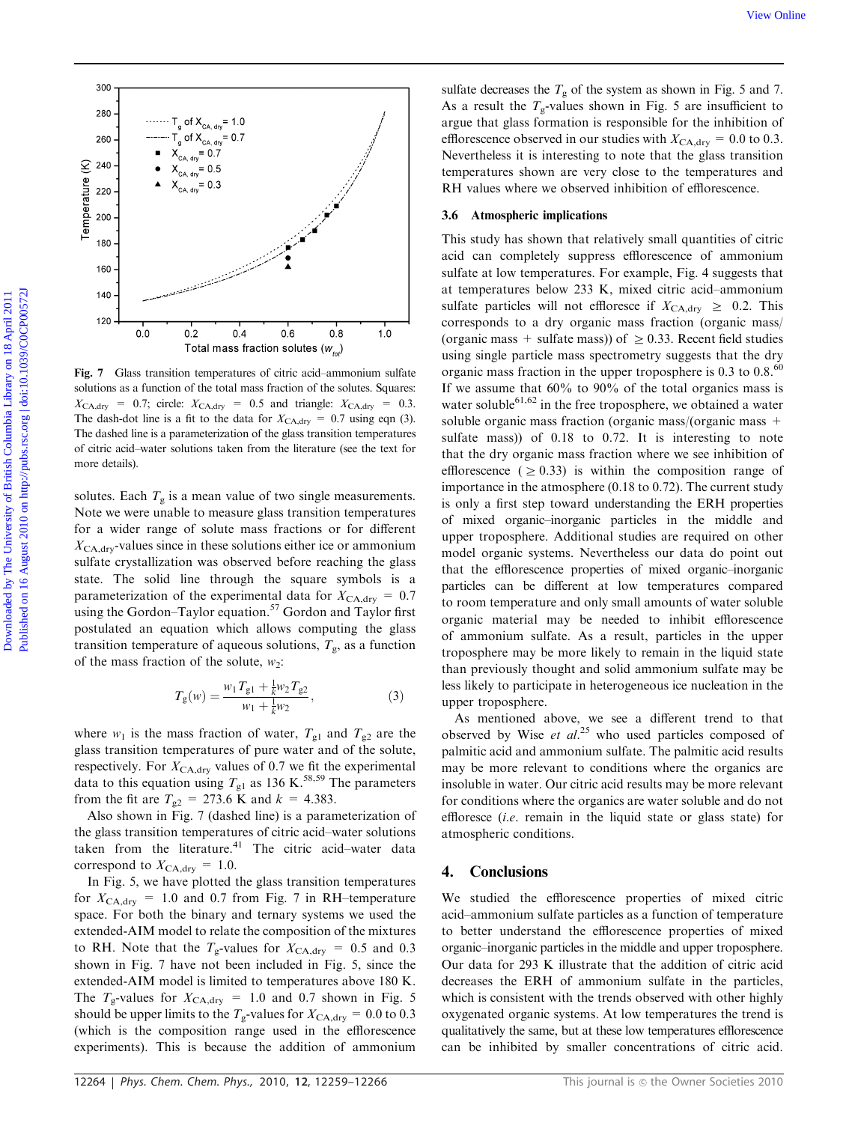

Fig. 7 Glass transition temperatures of citric acid–ammonium sulfate solutions as a function of the total mass fraction of the solutes. Squares:  $X_{\text{CA,dry}} = 0.7$ ; circle:  $X_{\text{CA,dry}} = 0.5$  and triangle:  $X_{\text{CA,dry}} = 0.3$ . The dash-dot line is a fit to the data for  $X_{\text{CA, dry}} = 0.7$  using eqn (3). The dashed line is a parameterization of the glass transition temperatures of citric acid–water solutions taken from the literature (see the text for more details).

solutes. Each  $T_g$  is a mean value of two single measurements. Note we were unable to measure glass transition temperatures for a wider range of solute mass fractions or for different  $X_{\text{CA,dry}}$ -values since in these solutions either ice or ammonium sulfate crystallization was observed before reaching the glass state. The solid line through the square symbols is a parameterization of the experimental data for  $X_{\text{CA, dry}} = 0.7$ using the Gordon–Taylor equation.<sup>57</sup> Gordon and Taylor first postulated an equation which allows computing the glass transition temperature of aqueous solutions,  $T_{\rm g}$ , as a function of the mass fraction of the solute,  $w_2$ :

$$
T_{g}(w) = \frac{w_1 T_{g1} + \frac{1}{k} w_2 T_{g2}}{w_1 + \frac{1}{k} w_2},
$$
\n(3)

where  $w_1$  is the mass fraction of water,  $T_{g1}$  and  $T_{g2}$  are the glass transition temperatures of pure water and of the solute, respectively. For  $X_{\text{CA,dry}}$  values of 0.7 we fit the experimental data to this equation using  $T_{g1}$  as 136 K.<sup>58,59</sup> The parameters from the fit are  $T_{g2} = 273.6$  K and  $k = 4.383$ .

Also shown in Fig. 7 (dashed line) is a parameterization of the glass transition temperatures of citric acid–water solutions taken from the literature. $41$  The citric acid–water data correspond to  $X_{\text{CA, dry}} = 1.0$ .

In Fig. 5, we have plotted the glass transition temperatures for  $X_{\text{CA,dry}} = 1.0$  and 0.7 from Fig. 7 in RH–temperature space. For both the binary and ternary systems we used the extended-AIM model to relate the composition of the mixtures to RH. Note that the  $T_g$ -values for  $X_{CA, dry} = 0.5$  and 0.3 shown in Fig. 7 have not been included in Fig. 5, since the extended-AIM model is limited to temperatures above 180 K. The  $T_g$ -values for  $X_{\text{CA, dry}} = 1.0$  and 0.7 shown in Fig. 5 should be upper limits to the  $T_g$ -values for  $X_{\text{CA, dry}} = 0.0$  to 0.3 (which is the composition range used in the efflorescence experiments). This is because the addition of ammonium

sulfate decreases the  $T_g$  of the system as shown in Fig. 5 and 7. As a result the  $T_{\alpha}$ -values shown in Fig. 5 are insufficient to argue that glass formation is responsible for the inhibition of efflorescence observed in our studies with  $X_{\text{CA, dry}} = 0.0$  to 0.3. Nevertheless it is interesting to note that the glass transition temperatures shown are very close to the temperatures and RH values where we observed inhibition of efflorescence.

#### 3.6 Atmospheric implications

This study has shown that relatively small quantities of citric acid can completely suppress efflorescence of ammonium sulfate at low temperatures. For example, Fig. 4 suggests that at temperatures below 233 K, mixed citric acid–ammonium sulfate particles will not effloresce if  $X_{\text{CA, dry}} \geq 0.2$ . This corresponds to a dry organic mass fraction (organic mass/ (organic mass + sulfate mass)) of  $\geq$  0.33. Recent field studies using single particle mass spectrometry suggests that the dry organic mass fraction in the upper troposphere is 0.3 to 0.8.<sup>60</sup> If we assume that 60% to 90% of the total organics mass is water soluble<sup>61,62</sup> in the free troposphere, we obtained a water soluble organic mass fraction (organic mass/(organic mass + sulfate mass)) of 0.18 to 0.72. It is interesting to note that the dry organic mass fraction where we see inhibition of efflorescence ( $\geq$  0.33) is within the composition range of importance in the atmosphere (0.18 to 0.72). The current study is only a first step toward understanding the ERH properties of mixed organic–inorganic particles in the middle and upper troposphere. Additional studies are required on other model organic systems. Nevertheless our data do point out that the efflorescence properties of mixed organic–inorganic particles can be different at low temperatures compared to room temperature and only small amounts of water soluble organic material may be needed to inhibit efflorescence of ammonium sulfate. As a result, particles in the upper troposphere may be more likely to remain in the liquid state than previously thought and solid ammonium sulfate may be less likely to participate in heterogeneous ice nucleation in the upper troposphere. We Columbia The University of the system as August 2011 of British Columbia Library on 18 August 2012 11 August 2012 12 August 2012 12 August 2012 12 August 2012 12 August 2012 12 August 2012 12 August 2012 12 August 2012

> As mentioned above, we see a different trend to that observed by Wise et  $al.^{25}$  who used particles composed of palmitic acid and ammonium sulfate. The palmitic acid results may be more relevant to conditions where the organics are insoluble in water. Our citric acid results may be more relevant for conditions where the organics are water soluble and do not effloresce (i.e. remain in the liquid state or glass state) for atmospheric conditions.

## 4. Conclusions

We studied the efflorescence properties of mixed citric acid–ammonium sulfate particles as a function of temperature to better understand the efflorescence properties of mixed organic–inorganic particles in the middle and upper troposphere. Our data for 293 K illustrate that the addition of citric acid decreases the ERH of ammonium sulfate in the particles, which is consistent with the trends observed with other highly oxygenated organic systems. At low temperatures the trend is qualitatively the same, but at these low temperatures efflorescence can be inhibited by smaller concentrations of citric acid.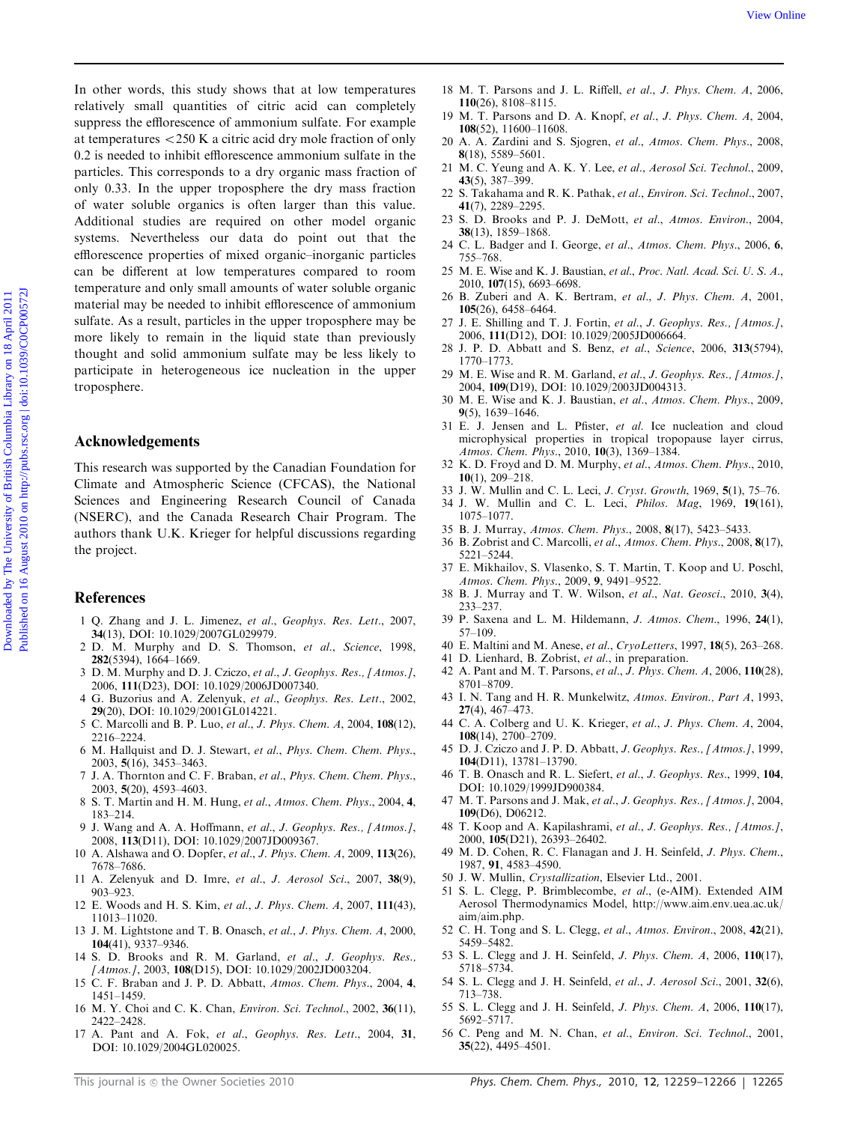In other words, this study shows that at low temperatures relatively small quantities of citric acid can completely suppress the efflorescence of ammonium sulfate. For example at temperatures  $<$  250 K a citric acid dry mole fraction of only 0.2 is needed to inhibit efflorescence ammonium sulfate in the particles. This corresponds to a dry organic mass fraction of only 0.33. In the upper troposphere the dry mass fraction of water soluble organics is often larger than this value. Additional studies are required on other model organic systems. Nevertheless our data do point out that the efflorescence properties of mixed organic–inorganic particles can be different at low temperatures compared to room temperature and only small amounts of water soluble organic material may be needed to inhibit efflorescence of ammonium sulfate. As a result, particles in the upper troposphere may be more likely to remain in the liquid state than previously thought and solid ammonium sulfate may be less likely to participate in heterogeneous ice nucleation in the upper troposphere. The other words, this study shows that at low temperatures is M. F. Pancos and J. L. Refist, e.d., J. Pape Columbia Library on the Equation of Distribution Columbia Library on the Columbia Library of British Columbia Libr

## Acknowledgements

This research was supported by the Canadian Foundation for Climate and Atmospheric Science (CFCAS), the National Sciences and Engineering Research Council of Canada (NSERC), and the Canada Research Chair Program. The authors thank U.K. Krieger for helpful discussions regarding the project.

## References

- 1 Q. Zhang and J. L. Jimenez, et al., Geophys. Res. Lett., 2007, 34(13), DOI: 10.1029/2007GL029979.
- 2 D. M. Murphy and D. S. Thomson, et al., Science, 1998, 282(5394), 1664–1669.
- 3 D. M. Murphy and D. J. Cziczo, et al., J. Geophys. Res., [Atmos.], 2006, 111(D23), DOI: 10.1029/2006JD007340.
- 4 G. Buzorius and A. Zelenyuk, et al., Geophys. Res. Lett., 2002, 29(20), DOI: 10.1029/2001GL014221.
- 5 C. Marcolli and B. P. Luo, et al., J. Phys. Chem. A, 2004, 108(12), 2216–2224.
- 6 M. Hallquist and D. J. Stewart, et al., Phys. Chem. Chem. Phys., 2003, 5(16), 3453–3463.
- 7 J. A. Thornton and C. F. Braban, et al., Phys. Chem. Chem. Phys., 2003, 5(20), 4593–4603.
- 8 S. T. Martin and H. M. Hung, et al., Atmos. Chem. Phys., 2004, 4, 183–214.
- 9 J. Wang and A. A. Hoffmann, et al., J. Geophys. Res., [Atmos.], 2008, 113(D11), DOI: 10.1029/2007JD009367.
- 10 A. Alshawa and O. Dopfer, et al., J. Phys. Chem. A, 2009, 113(26), 7678–7686.
- 11 A. Zelenyuk and D. Imre, et al., J. Aerosol Sci., 2007, 38(9), 903–923.
- 12 E. Woods and H. S. Kim, et al., J. Phys. Chem. A, 2007, 111(43), 11013–11020.
- 13 J. M. Lightstone and T. B. Onasch, et al., J. Phys. Chem. A, 2000, 104(41), 9337–9346.
- 14 S. D. Brooks and R. M. Garland, et al., J. Geophys. Res., [Atmos.], 2003, 108(D15), DOI: 10.1029/2002JD003204.
- 15 C. F. Braban and J. P. D. Abbatt, Atmos. Chem. Phys., 2004, 4, 1451–1459.
- 16 M. Y. Choi and C. K. Chan, Environ. Sci. Technol., 2002, 36(11), 2422–2428.
- 17 A. Pant and A. Fok, et al., Geophys. Res. Lett., 2004, 31, DOI: 10.1029/2004GL020025.
- 18 M. T. Parsons and J. L. Riffell, et al., J. Phys. Chem. A, 2006, 110(26), 8108–8115.
- 19 M. T. Parsons and D. A. Knopf, et al., J. Phys. Chem. A, 2004, 108(52), 11600–11608.
- 20 A. A. Zardini and S. Sjogren, et al., Atmos. Chem. Phys., 2008, 8(18), 5589–5601.
- 21 M. C. Yeung and A. K. Y. Lee, et al., Aerosol Sci. Technol., 2009, 43(5), 387–399.
- 22 S. Takahama and R. K. Pathak, et al., Environ. Sci. Technol., 2007, 41(7), 2289–2295.
- 23 S. D. Brooks and P. J. DeMott, et al., Atmos. Environ., 2004, 38(13), 1859–1868.
- 24 C. L. Badger and I. George, et al., Atmos. Chem. Phys., 2006, 6, 755–768.
- 25 M. E. Wise and K. J. Baustian, et al., Proc. Natl. Acad. Sci. U. S. A., 2010, 107(15), 6693–6698.
- 26 B. Zuberi and A. K. Bertram, et al., J. Phys. Chem. A, 2001, 105(26), 6458–6464.
- 27 J. E. Shilling and T. J. Fortin, et al., J. Geophys. Res., [Atmos.], 2006, 111(D12), DOI: 10.1029/2005JD006664.
- 28 J. P. D. Abbatt and S. Benz, et al., Science, 2006, 313(5794), 1770–1773.
- 29 M. E. Wise and R. M. Garland, et al., J. Geophys. Res., [Atmos.], 2004, 109(D19), DOI: 10.1029/2003JD004313.
- 30 M. E. Wise and K. J. Baustian, et al., Atmos. Chem. Phys., 2009, 9(5), 1639–1646.
- 31 E. J. Jensen and L. Pfister, et al. Ice nucleation and cloud microphysical properties in tropical tropopause layer cirrus, Atmos. Chem. Phys., 2010, 10(3), 1369–1384.
- 32 K. D. Froyd and D. M. Murphy, et al., Atmos. Chem. Phys., 2010, 10(1), 209–218.
- 33 J. W. Mullin and C. L. Leci, J. Cryst. Growth, 1969, 5(1), 75–76.
- 34 J. W. Mullin and C. L. Leci, Philos. Mag, 1969, 19(161), 1075–1077.
- 35 B. J. Murray, Atmos. Chem. Phys., 2008, 8(17), 5423–5433.
- 36 B. Zobrist and C. Marcolli, et al., Atmos. Chem. Phys., 2008, 8(17), 5221–5244.
- 37 E. Mikhailov, S. Vlasenko, S. T. Martin, T. Koop and U. Poschl, Atmos. Chem. Phys., 2009, 9, 9491–9522.
- 38 B. J. Murray and T. W. Wilson, et al., Nat. Geosci., 2010, 3(4), 233–237.
- 39 P. Saxena and L. M. Hildemann, J. Atmos. Chem., 1996, 24(1), 57–109.
- 40 E. Maltini and M. Anese, et al., CryoLetters, 1997, 18(5), 263–268.
- 41 D. Lienhard, B. Zobrist, et al., in preparation.
- 42 A. Pant and M. T. Parsons, et al., J. Phys. Chem. A, 2006, 110(28), 8701–8709.
- 43 I. N. Tang and H. R. Munkelwitz, Atmos. Environ., Part A, 1993, 27(4), 467–473.
- 44 C. A. Colberg and U. K. Krieger, et al., J. Phys. Chem. A, 2004, 108(14), 2700–2709.
- 45 D. J. Cziczo and J. P. D. Abbatt, J. Geophys. Res., [Atmos.], 1999, 104(D11), 13781–13790.
- 46 T. B. Onasch and R. L. Siefert, et al., J. Geophys. Res., 1999, 104, DOI: 10.1029/1999JD900384.
- 47 M. T. Parsons and J. Mak, et al., J. Geophys. Res., [Atmos.], 2004, 109(D6), D06212.
- 48 T. Koop and A. Kapilashrami, et al., J. Geophys. Res., [Atmos.], 2000, 105(D21), 26393–26402.
- 49 M. D. Cohen, R. C. Flanagan and J. H. Seinfeld, J. Phys. Chem., 1987, 91, 4583–4590.
- 50 J. W. Mullin, Crystallization, Elsevier Ltd., 2001.
- 51 S. L. Clegg, P. Brimblecombe, et al., (e-AIM). Extended AIM Aerosol Thermodynamics Model, http://www.aim.env.uea.ac.uk/ aim/aim.php.
- 52 C. H. Tong and S. L. Clegg, et al., Atmos. Environ., 2008, 42(21), 5459–5482.
- 53 S. L. Clegg and J. H. Seinfeld, J. Phys. Chem. A, 2006, 110(17), 5718–5734.
- 54 S. L. Clegg and J. H. Seinfeld, et al., J. Aerosol Sci., 2001, 32(6), 713–738.
- 55 S. L. Clegg and J. H. Seinfeld, J. Phys. Chem. A, 2006, 110(17), 5692–5717.
- 56 C. Peng and M. N. Chan, et al., Environ. Sci. Technol., 2001, 35(22), 4495–4501.